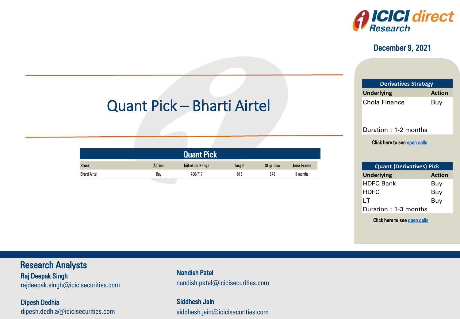

#### December 9, 2021

| <b>Derivatives Strategy</b>        |     |  |  |  |
|------------------------------------|-----|--|--|--|
| <b>Underlying</b><br><b>Action</b> |     |  |  |  |
| <b>Chola Finance</b>               | Buy |  |  |  |

Duration : 1-2 months

Click here to see <u>open calls</u>

| <b>Quant (Derivatives) Pick</b> |               |  |  |  |
|---------------------------------|---------------|--|--|--|
| <b>Underlying</b>               | <b>Action</b> |  |  |  |
| <b>HDFC Bank</b>                | Buy           |  |  |  |
| <b>HDFC</b>                     | Buy           |  |  |  |
| ΙT                              | Buy           |  |  |  |
| Duration: 1-3 months            |               |  |  |  |

ICICI Securities

– Retail Equity Research

Click here to see <u>open calls</u><br>————————————————————

# Quant Pick – Bharti Airtel

|     |  | <b>Noc</b><br>1099 |  |
|-----|--|--------------------|--|
| Buy |  | 64č                |  |

### Research Analysts

Raj Deepak Singh **Raj Doopak Singhawa** rajdeepak.omgn@icicioocdniico.com rajdeepak.singh $@$ icicisecurities.com

Dipesh Dedhia dipesh.dedhia@icicisecurities.com nandish.patel@icicisecurities.com Nandish Patel

> Siddhesh Jain siddhesh.jain@icicisecurities.com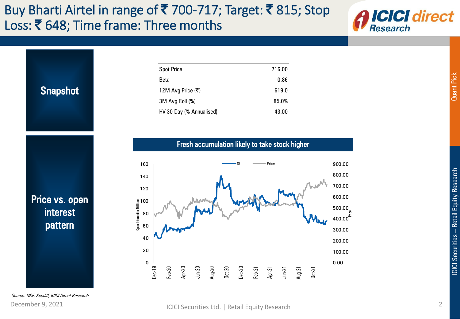## Buy Bharti Airtel in range of ₹ 700-717; Target: ₹ 815; Stop Loss: ₹ 648; Time frame: Three months



Snapshot

| <b>Spot Price</b>        | 716.00 |
|--------------------------|--------|
| Beta                     | 0.86   |
| 12M Avg Price (₹)        | 619.0  |
| 3M Avg Roll (%)          | 85.0%  |
| HV 30 Day (% Annualised) | 43.00  |

Fresh accumulation likely to take stock higher



Price vs. open interest pattern

Source: NSE, Seediff, ICICI Direct Research

### <span id="page-1-0"></span>December 9, 2021 **ICICI Securities Ltd.** | Retail Equity Research 2

Quant Pick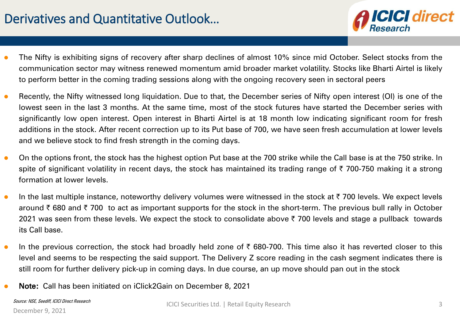## Derivatives and Quantitative Outlook…



- **•** The Nifty is exhibiting signs of recovery after sharp declines of almost 10% since mid October. Select stocks from the communication sector may witness renewed momentum amid broader market volatility. Stocks like Bharti Airtel is likely to perform better in the coming trading sessions along with the ongoing recovery seen in sectoral peers
- Recently, the Nifty witnessed long liquidation. Due to that, the December series of Nifty open interest (OI) is one of the lowest seen in the last 3 months. At the same time, most of the stock futures have started the December series with significantly low open interest. Open interest in Bharti Airtel is at 18 month low indicating significant room for fresh additions in the stock. After recent correction up to its Put base of 700, we have seen fresh accumulation at lower levels and we believe stock to find fresh strength in the coming days.
- On the options front, the stock has the highest option Put base at the 700 strike while the Call base is at the 750 strike. In spite of significant volatility in recent days, the stock has maintained its trading range of  $\bar{\tau}$  700-750 making it a strong formation at lower levels.
- In the last multiple instance, noteworthy delivery volumes were witnessed in the stock at  $\bar{\tau}$  700 levels. We expect levels around ₹680 and ₹700 to act as important supports for the stock in the short-term. The previous bull rally in October 2021 was seen from these levels. We expect the stock to consolidate above  $\bar{\tau}$  700 levels and stage a pullback towards its Call base.
- In the previous correction, the stock had broadly held zone of  $\bar{\tau}$  680-700. This time also it has reverted closer to this level and seems to be respecting the said support. The Delivery Z score reading in the cash segment indicates there is still room for further delivery pick-up in coming days. In due course, an up move should pan out in the stock
- Note: Call has been initiated on iClick2Gain on December 8, 2021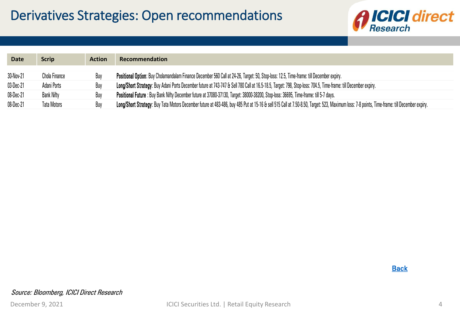

| <b>Date</b> | <b>Scrip</b>  | <b>Action</b> | Recommendation                                                                                                                                                                               |
|-------------|---------------|---------------|----------------------------------------------------------------------------------------------------------------------------------------------------------------------------------------------|
| 30-Nov-21   | Chola Finance |               | Positional Option: Buy Cholamandalam Finance December 560 Call at 24-26, Target: 50, Stop-loss: 12.5, Time-frame: till December expiry.                                                      |
| 03-Dec-21   | Adani Ports   |               | Long/Short Strategy: Buy Adani Ports December future at 743-747 & Sell 780 Call at 16.5-18.5, Target: 798, Stop-loss: 704.5, Time-frame: till December expiry.                               |
| 08-Dec-21   | Bank Nifty    | Buy           | Positional Future: Buy Bank Nifty December future at 37080-37130, Target: 38000-38200, Stop-loss: 36695, Time-frame: till 5-7 days.                                                          |
| 08-Dec-21   | Tata Motors   |               | Long/Short Strategy: Buy Tata Motors December future at 483-486, buy 485 Put at 15-16 & sell 515 Call at 7.50-8.50, Target: 523, Maximum loss: 7-8 points, Time-frame: till December expiry. |

**Back**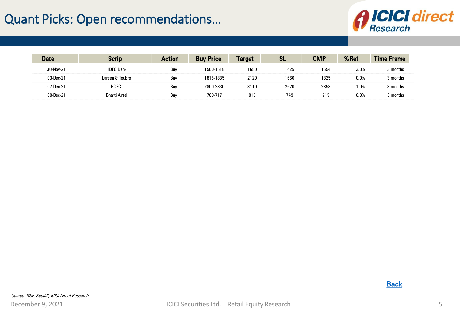## Quant Picks: Open recommendations…



<span id="page-4-0"></span>

|              |                  | 'I∩⊓       |          | <b>arget</b> | C I              | <b>CMP</b> | łΩi     |          |
|--------------|------------------|------------|----------|--------------|------------------|------------|---------|----------|
| 30-Nov-21    | <b>HDFC Bank</b> | Buy        | 500-1518 | 1650         | <b>.</b><br>1425 | 1554       | 3.0%    | :מnth    |
| $.3$ -Dec-21 | arsen & Toubro   | Buy        | 815-1835 | 2120         | 1660             | 1825       | 0.0%    | nnth:    |
| 21-Dec-      | HDFC             | Buy        |          | 3110         | 2620             | 2853       | .0%،    | 11 I I I |
|              | Rharti Airtel    | <b>Buv</b> | 700-71   | 815          | 749              | 15         | $0.0\%$ |          |

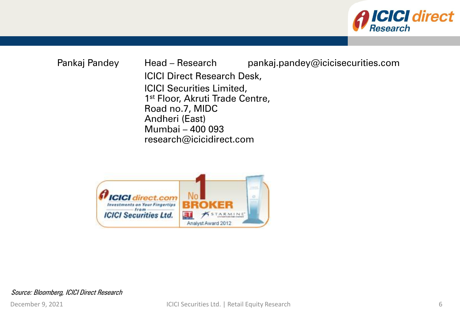

Pankaj Pandey Head – Research pankaj.pandey@icicisecurities.com ICICI Direct Research Desk, ICICI Securities Limited, 1<sup>st</sup> Floor, Akruti Trade Centre, Road no.7, MIDC Andheri (East) Mumbai – 400 093 research@icicidirect.com



Source: Bloomberg, ICICI Direct Research